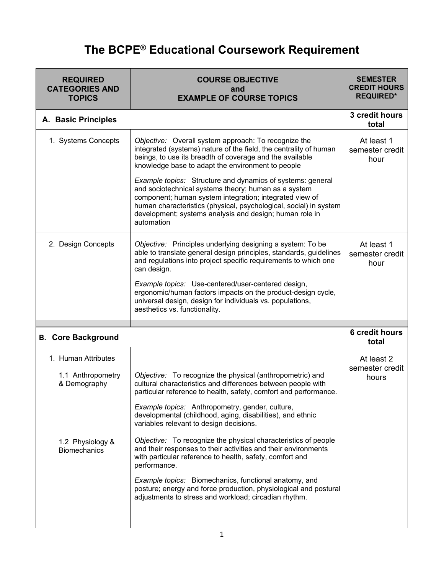## **The BCPE® Educational Coursework Requirement**

| <b>COURSE OBJECTIVE</b><br>and<br><b>EXAMPLE OF COURSE TOPICS</b>                                                                                                                                                                                                                                                                                                                                                                                                                                                                                                                                                                                                                                                                                               | <b>SEMESTER</b><br><b>CREDIT HOURS</b><br><b>REQUIRED*</b> |
|-----------------------------------------------------------------------------------------------------------------------------------------------------------------------------------------------------------------------------------------------------------------------------------------------------------------------------------------------------------------------------------------------------------------------------------------------------------------------------------------------------------------------------------------------------------------------------------------------------------------------------------------------------------------------------------------------------------------------------------------------------------------|------------------------------------------------------------|
|                                                                                                                                                                                                                                                                                                                                                                                                                                                                                                                                                                                                                                                                                                                                                                 | 3 credit hours<br>total                                    |
| Objective: Overall system approach: To recognize the<br>integrated (systems) nature of the field, the centrality of human<br>beings, to use its breadth of coverage and the available<br>knowledge base to adapt the environment to people                                                                                                                                                                                                                                                                                                                                                                                                                                                                                                                      | At least 1<br>semester credit<br>hour                      |
| Example topics: Structure and dynamics of systems: general<br>and sociotechnical systems theory; human as a system<br>component; human system integration; integrated view of<br>human characteristics (physical, psychological, social) in system<br>development; systems analysis and design; human role in<br>automation                                                                                                                                                                                                                                                                                                                                                                                                                                     |                                                            |
| Objective: Principles underlying designing a system: To be<br>able to translate general design principles, standards, guidelines<br>and regulations into project specific requirements to which one<br>can design.                                                                                                                                                                                                                                                                                                                                                                                                                                                                                                                                              | At least 1<br>semester credit<br>hour                      |
| Example topics: Use-centered/user-centered design,<br>ergonomic/human factors impacts on the product-design cycle,<br>universal design, design for individuals vs. populations,<br>aesthetics vs. functionality.                                                                                                                                                                                                                                                                                                                                                                                                                                                                                                                                                |                                                            |
|                                                                                                                                                                                                                                                                                                                                                                                                                                                                                                                                                                                                                                                                                                                                                                 | <b>6 credit hours</b><br>total                             |
| Objective: To recognize the physical (anthropometric) and<br>cultural characteristics and differences between people with<br>particular reference to health, safety, comfort and performance.<br>Example topics: Anthropometry, gender, culture,<br>developmental (childhood, aging, disabilities), and ethnic<br>variables relevant to design decisions.<br>Objective: To recognize the physical characteristics of people<br>and their responses to their activities and their environments<br>with particular reference to health, safety, comfort and<br>performance.<br>Example topics: Biomechanics, functional anatomy, and<br>posture; energy and force production, physiological and postural<br>adjustments to stress and workload; circadian rhythm. | At least 2<br>semester credit<br>hours                     |
|                                                                                                                                                                                                                                                                                                                                                                                                                                                                                                                                                                                                                                                                                                                                                                 |                                                            |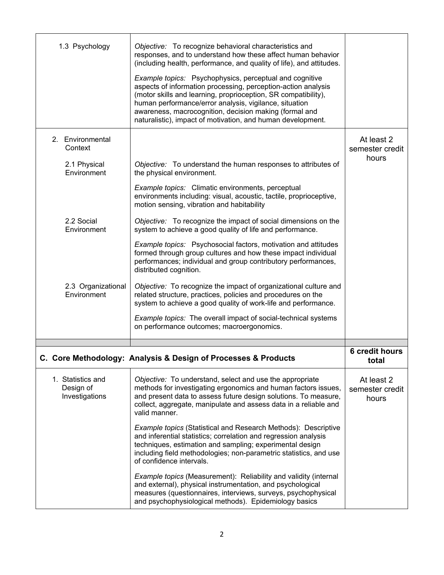| 1.3 Psychology                                   | Objective: To recognize behavioral characteristics and<br>responses, and to understand how these affect human behavior<br>(including health, performance, and quality of life), and attitudes.                                                                                                                                                                                       |                                        |
|--------------------------------------------------|--------------------------------------------------------------------------------------------------------------------------------------------------------------------------------------------------------------------------------------------------------------------------------------------------------------------------------------------------------------------------------------|----------------------------------------|
|                                                  | <b>Example topics:</b> Psychophysics, perceptual and cognitive<br>aspects of information processing, perception-action analysis<br>(motor skills and learning, proprioception, SR compatibility),<br>human performance/error analysis, vigilance, situation<br>awareness, macrocognition, decision making (formal and<br>naturalistic), impact of motivation, and human development. |                                        |
| 2. Environmental<br>Context                      |                                                                                                                                                                                                                                                                                                                                                                                      | At least 2<br>semester credit          |
| 2.1 Physical<br>Environment                      | Objective: To understand the human responses to attributes of<br>the physical environment.                                                                                                                                                                                                                                                                                           | hours                                  |
|                                                  | Example topics: Climatic environments, perceptual<br>environments including: visual, acoustic, tactile, proprioceptive,<br>motion sensing, vibration and habitability                                                                                                                                                                                                                |                                        |
| 2.2 Social<br>Environment                        | Objective: To recognize the impact of social dimensions on the<br>system to achieve a good quality of life and performance.                                                                                                                                                                                                                                                          |                                        |
|                                                  | Example topics: Psychosocial factors, motivation and attitudes<br>formed through group cultures and how these impact individual<br>performances; individual and group contributory performances,<br>distributed cognition.                                                                                                                                                           |                                        |
| 2.3 Organizational<br>Environment                | Objective: To recognize the impact of organizational culture and<br>related structure, practices, policies and procedures on the<br>system to achieve a good quality of work-life and performance.                                                                                                                                                                                   |                                        |
|                                                  | Example topics: The overall impact of social-technical systems<br>on performance outcomes; macroergonomics.                                                                                                                                                                                                                                                                          |                                        |
|                                                  |                                                                                                                                                                                                                                                                                                                                                                                      | <b>6 credit hours</b>                  |
|                                                  | Core Methodology: Analysis & Design of Processes & Products                                                                                                                                                                                                                                                                                                                          | total                                  |
| 1. Statistics and<br>Design of<br>Investigations | Objective: To understand, select and use the appropriate<br>methods for investigating ergonomics and human factors issues,<br>and present data to assess future design solutions. To measure,<br>collect, aggregate, manipulate and assess data in a reliable and<br>valid manner.                                                                                                   | At least 2<br>semester credit<br>hours |
|                                                  | Example topics (Statistical and Research Methods): Descriptive<br>and inferential statistics; correlation and regression analysis<br>techniques, estimation and sampling; experimental design<br>including field methodologies; non-parametric statistics, and use<br>of confidence intervals.                                                                                       |                                        |
|                                                  | Example topics (Measurement): Reliability and validity (internal<br>and external), physical instrumentation, and psychological<br>measures (questionnaires, interviews, surveys, psychophysical<br>and psychophysiological methods). Epidemiology basics                                                                                                                             |                                        |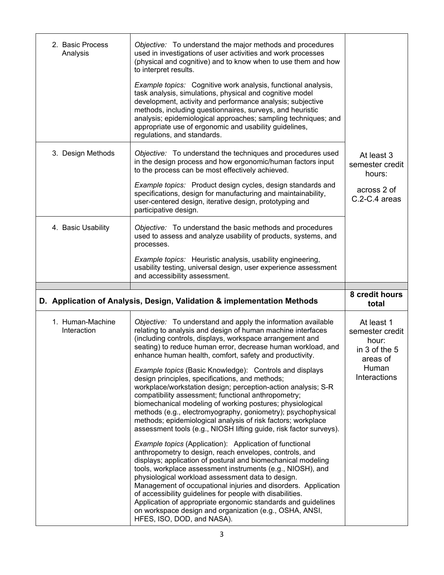| 2. Basic Process<br>Analysis | Objective: To understand the major methods and procedures<br>used in investigations of user activities and work processes<br>(physical and cognitive) and to know when to use them and how<br>to interpret results.<br>Example topics: Cognitive work analysis, functional analysis,<br>task analysis, simulations, physical and cognitive model<br>development, activity and performance analysis; subjective<br>methods, including questionnaires, surveys, and heuristic<br>analysis; epidemiological approaches; sampling techniques; and<br>appropriate use of ergonomic and usability guidelines,<br>regulations, and standards. |                                                                         |
|------------------------------|----------------------------------------------------------------------------------------------------------------------------------------------------------------------------------------------------------------------------------------------------------------------------------------------------------------------------------------------------------------------------------------------------------------------------------------------------------------------------------------------------------------------------------------------------------------------------------------------------------------------------------------|-------------------------------------------------------------------------|
| 3. Design Methods            | Objective: To understand the techniques and procedures used<br>in the design process and how ergonomic/human factors input<br>to the process can be most effectively achieved.<br>Example topics: Product design cycles, design standards and<br>specifications, design for manufacturing and maintainability,<br>user-centered design, iterative design, prototyping and<br>participative design.                                                                                                                                                                                                                                     | At least 3<br>semester credit<br>hours:<br>across 2 of<br>C.2-C.4 areas |
| 4. Basic Usability           | Objective: To understand the basic methods and procedures<br>used to assess and analyze usability of products, systems, and<br>processes.<br>Example topics: Heuristic analysis, usability engineering,<br>usability testing, universal design, user experience assessment<br>and accessibility assessment.                                                                                                                                                                                                                                                                                                                            |                                                                         |
|                              |                                                                                                                                                                                                                                                                                                                                                                                                                                                                                                                                                                                                                                        |                                                                         |
|                              | D. Application of Analysis, Design, Validation & implementation Methods                                                                                                                                                                                                                                                                                                                                                                                                                                                                                                                                                                | 8 credit hours<br>total                                                 |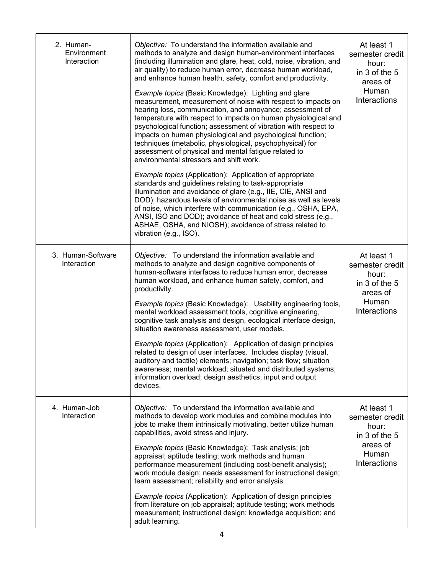| 2. Human-<br>Environment<br>Interaction | Objective: To understand the information available and<br>methods to analyze and design human-environment interfaces<br>(including illumination and glare, heat, cold, noise, vibration, and<br>air quality) to reduce human error, decrease human workload,<br>and enhance human health, safety, comfort and productivity.<br>Example topics (Basic Knowledge): Lighting and glare<br>measurement, measurement of noise with respect to impacts on<br>hearing loss, communication, and annoyance; assessment of<br>temperature with respect to impacts on human physiological and<br>psychological function; assessment of vibration with respect to<br>impacts on human physiological and psychological function;<br>techniques (metabolic, physiological, psychophysical) for<br>assessment of physical and mental fatigue related to<br>environmental stressors and shift work.<br>Example topics (Application): Application of appropriate<br>standards and guidelines relating to task-appropriate<br>illumination and avoidance of glare (e.g., IIE, CIE, ANSI and<br>DOD); hazardous levels of environmental noise as well as levels<br>of noise, which interfere with communication (e.g., OSHA, EPA,<br>ANSI, ISO and DOD); avoidance of heat and cold stress (e.g.,<br>ASHAE, OSHA, and NIOSH); avoidance of stress related to<br>vibration (e.g., ISO). | At least 1<br>semester credit<br>hour:<br>in 3 of the 5<br>areas of<br>Human<br>Interactions |
|-----------------------------------------|---------------------------------------------------------------------------------------------------------------------------------------------------------------------------------------------------------------------------------------------------------------------------------------------------------------------------------------------------------------------------------------------------------------------------------------------------------------------------------------------------------------------------------------------------------------------------------------------------------------------------------------------------------------------------------------------------------------------------------------------------------------------------------------------------------------------------------------------------------------------------------------------------------------------------------------------------------------------------------------------------------------------------------------------------------------------------------------------------------------------------------------------------------------------------------------------------------------------------------------------------------------------------------------------------------------------------------------------------------------------|----------------------------------------------------------------------------------------------|
| 3. Human-Software<br>Interaction        | Objective: To understand the information available and<br>methods to analyze and design cognitive components of<br>human-software interfaces to reduce human error, decrease<br>human workload, and enhance human safety, comfort, and<br>productivity.<br>Example topics (Basic Knowledge): Usability engineering tools,<br>mental workload assessment tools, cognitive engineering,<br>cognitive task analysis and design, ecological interface design,<br>situation awareness assessment, user models.<br>Example topics (Application): Application of design principles<br>related to design of user interfaces. Includes display (visual,<br>auditory and tactile) elements; navigation; task flow; situation<br>awareness; mental workload; situated and distributed systems;<br>information overload; design aesthetics; input and output<br>devices.                                                                                                                                                                                                                                                                                                                                                                                                                                                                                                        | At least 1<br>semester credit<br>hour:<br>in 3 of the 5<br>areas of<br>Human<br>Interactions |
| 4. Human-Job<br>Interaction             | Objective: To understand the information available and<br>methods to develop work modules and combine modules into<br>jobs to make them intrinsically motivating, better utilize human<br>capabilities, avoid stress and injury.<br>Example topics (Basic Knowledge): Task analysis; job<br>appraisal; aptitude testing; work methods and human<br>performance measurement (including cost-benefit analysis);<br>work module design; needs assessment for instructional design;<br>team assessment; reliability and error analysis.<br><b>Example topics (Application): Application of design principles</b><br>from literature on job appraisal; aptitude testing; work methods<br>measurement; instructional design; knowledge acquisition; and<br>adult learning.                                                                                                                                                                                                                                                                                                                                                                                                                                                                                                                                                                                                | At least 1<br>semester credit<br>hour:<br>in 3 of the 5<br>areas of<br>Human<br>Interactions |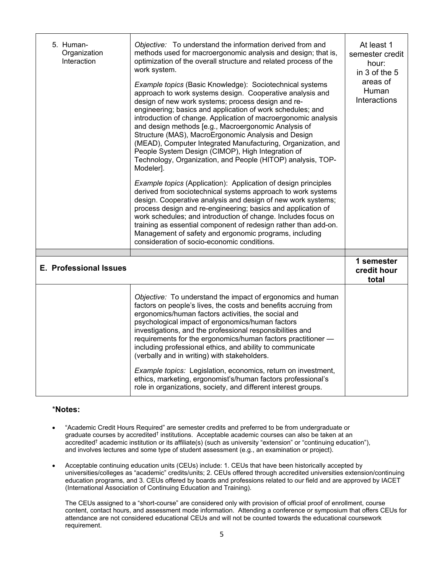| 5. Human-<br>Organization<br>Interaction | Objective: To understand the information derived from and<br>methods used for macroergonomic analysis and design; that is,<br>optimization of the overall structure and related process of the<br>work system.<br><b>Example topics (Basic Knowledge): Sociotechnical systems</b><br>approach to work systems design. Cooperative analysis and<br>design of new work systems; process design and re-<br>engineering; basics and application of work schedules; and<br>introduction of change. Application of macroergonomic analysis<br>and design methods [e.g., Macroergonomic Analysis of<br>Structure (MAS), MacroErgonomic Analysis and Design<br>(MEAD), Computer Integrated Manufacturing, Organization, and<br>People System Design (CIMOP), High Integration of<br>Technology, Organization, and People (HITOP) analysis, TOP-<br>Modeler].<br>Example topics (Application): Application of design principles<br>derived from sociotechnical systems approach to work systems<br>design. Cooperative analysis and design of new work systems;<br>process design and re-engineering; basics and application of<br>work schedules; and introduction of change. Includes focus on<br>training as essential component of redesign rather than add-on.<br>Management of safety and ergonomic programs, including<br>consideration of socio-economic conditions. | At least 1<br>semester credit<br>hour:<br>in 3 of the 5<br>areas of<br>Human<br>Interactions |
|------------------------------------------|---------------------------------------------------------------------------------------------------------------------------------------------------------------------------------------------------------------------------------------------------------------------------------------------------------------------------------------------------------------------------------------------------------------------------------------------------------------------------------------------------------------------------------------------------------------------------------------------------------------------------------------------------------------------------------------------------------------------------------------------------------------------------------------------------------------------------------------------------------------------------------------------------------------------------------------------------------------------------------------------------------------------------------------------------------------------------------------------------------------------------------------------------------------------------------------------------------------------------------------------------------------------------------------------------------------------------------------------------------------------|----------------------------------------------------------------------------------------------|
| <b>E. Professional Issues</b>            |                                                                                                                                                                                                                                                                                                                                                                                                                                                                                                                                                                                                                                                                                                                                                                                                                                                                                                                                                                                                                                                                                                                                                                                                                                                                                                                                                                     | 1 semester<br>credit hour<br>total                                                           |
|                                          | Objective: To understand the impact of ergonomics and human<br>factors on people's lives, the costs and benefits accruing from<br>ergonomics/human factors activities, the social and<br>psychological impact of ergonomics/human factors<br>investigations, and the professional responsibilities and<br>requirements for the ergonomics/human factors practitioner -<br>including professional ethics, and ability to communicate<br>(verbally and in writing) with stakeholders.<br>Example topics: Legislation, economics, return on investment,<br>ethics, marketing, ergonomist's/human factors professional's<br>role in organizations, society, and different interest groups.                                                                                                                                                                                                                                                                                                                                                                                                                                                                                                                                                                                                                                                                              |                                                                                              |

## \***Notes:**

- "Academic Credit Hours Required" are semester credits and preferred to be from undergraduate or graduate courses by accredited<sup>†</sup> institutions. Acceptable academic courses can also be taken at an accredited† academic institution or its affiliate(s) (such as university "extension" or "continuing education"), and involves lectures and some type of student assessment (e.g., an examination or project).
- Acceptable continuing education units (CEUs) include: 1. CEUs that have been historically accepted by universities/colleges as "academic" credits/units; 2. CEUs offered through accredited universities extension/continuing education programs, and 3. CEUs offered by boards and professions related to our field and are approved by IACET (International Association of Continuing Education and Training).

The CEUs assigned to a "short-course" are considered only with provision of official proof of enrollment, course content, contact hours, and assessment mode information. Attending a conference or symposium that offers CEUs for attendance are not considered educational CEUs and will not be counted towards the educational coursework requirement.